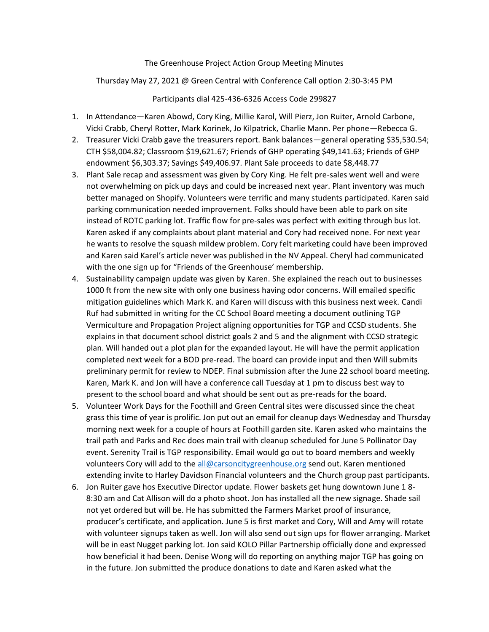The Greenhouse Project Action Group Meeting Minutes

Thursday May 27, 2021 @ Green Central with Conference Call option 2:30-3:45 PM

Participants dial 425-436-6326 Access Code 299827

- 1. In Attendance—Karen Abowd, Cory King, Millie Karol, Will Pierz, Jon Ruiter, Arnold Carbone, Vicki Crabb, Cheryl Rotter, Mark Korinek, Jo Kilpatrick, Charlie Mann. Per phone—Rebecca G.
- 2. Treasurer Vicki Crabb gave the treasurers report. Bank balances—general operating \$35,530.54; CTH \$58,004.82; Classroom \$19,621.67; Friends of GHP operating \$49,141.63; Friends of GHP endowment \$6,303.37; Savings \$49,406.97. Plant Sale proceeds to date \$8,448.77
- 3. Plant Sale recap and assessment was given by Cory King. He felt pre-sales went well and were not overwhelming on pick up days and could be increased next year. Plant inventory was much better managed on Shopify. Volunteers were terrific and many students participated. Karen said parking communication needed improvement. Folks should have been able to park on site instead of ROTC parking lot. Traffic flow for pre-sales was perfect with exiting through bus lot. Karen asked if any complaints about plant material and Cory had received none. For next year he wants to resolve the squash mildew problem. Cory felt marketing could have been improved and Karen said Karel's article never was published in the NV Appeal. Cheryl had communicated with the one sign up for "Friends of the Greenhouse' membership.
- 4. Sustainability campaign update was given by Karen. She explained the reach out to businesses 1000 ft from the new site with only one business having odor concerns. Will emailed specific mitigation guidelines which Mark K. and Karen will discuss with this business next week. Candi Ruf had submitted in writing for the CC School Board meeting a document outlining TGP Vermiculture and Propagation Project aligning opportunities for TGP and CCSD students. She explains in that document school district goals 2 and 5 and the alignment with CCSD strategic plan. Will handed out a plot plan for the expanded layout. He will have the permit application completed next week for a BOD pre-read. The board can provide input and then Will submits preliminary permit for review to NDEP. Final submission after the June 22 school board meeting. Karen, Mark K. and Jon will have a conference call Tuesday at 1 pm to discuss best way to present to the school board and what should be sent out as pre-reads for the board.
- 5. Volunteer Work Days for the Foothill and Green Central sites were discussed since the cheat grass this time of year is prolific. Jon put out an email for cleanup days Wednesday and Thursday morning next week for a couple of hours at Foothill garden site. Karen asked who maintains the trail path and Parks and Rec does main trail with cleanup scheduled for June 5 Pollinator Day event. Serenity Trail is TGP responsibility. Email would go out to board members and weekly volunteers Cory will add to the [all@carsoncitygreenhouse.org](mailto:all@carsoncitygreenhouse.org) send out. Karen mentioned extending invite to Harley Davidson Financial volunteers and the Church group past participants.
- 6. Jon Ruiter gave hos Executive Director update. Flower baskets get hung downtown June 1 8- 8:30 am and Cat Allison will do a photo shoot. Jon has installed all the new signage. Shade sail not yet ordered but will be. He has submitted the Farmers Market proof of insurance, producer's certificate, and application. June 5 is first market and Cory, Will and Amy will rotate with volunteer signups taken as well. Jon will also send out sign ups for flower arranging. Market will be in east Nugget parking lot. Jon said KOLO Pillar Partnership officially done and expressed how beneficial it had been. Denise Wong will do reporting on anything major TGP has going on in the future. Jon submitted the produce donations to date and Karen asked what the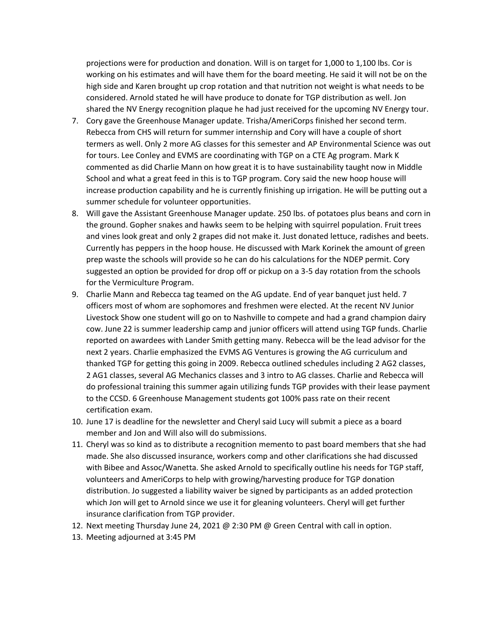projections were for production and donation. Will is on target for 1,000 to 1,100 lbs. Cor is working on his estimates and will have them for the board meeting. He said it will not be on the high side and Karen brought up crop rotation and that nutrition not weight is what needs to be considered. Arnold stated he will have produce to donate for TGP distribution as well. Jon shared the NV Energy recognition plaque he had just received for the upcoming NV Energy tour.

- 7. Cory gave the Greenhouse Manager update. Trisha/AmeriCorps finished her second term. Rebecca from CHS will return for summer internship and Cory will have a couple of short termers as well. Only 2 more AG classes for this semester and AP Environmental Science was out for tours. Lee Conley and EVMS are coordinating with TGP on a CTE Ag program. Mark K commented as did Charlie Mann on how great it is to have sustainability taught now in Middle School and what a great feed in this is to TGP program. Cory said the new hoop house will increase production capability and he is currently finishing up irrigation. He will be putting out a summer schedule for volunteer opportunities.
- 8. Will gave the Assistant Greenhouse Manager update. 250 lbs. of potatoes plus beans and corn in the ground. Gopher snakes and hawks seem to be helping with squirrel population. Fruit trees and vines look great and only 2 grapes did not make it. Just donated lettuce, radishes and beets. Currently has peppers in the hoop house. He discussed with Mark Korinek the amount of green prep waste the schools will provide so he can do his calculations for the NDEP permit. Cory suggested an option be provided for drop off or pickup on a 3-5 day rotation from the schools for the Vermiculture Program.
- 9. Charlie Mann and Rebecca tag teamed on the AG update. End of year banquet just held. 7 officers most of whom are sophomores and freshmen were elected. At the recent NV Junior Livestock Show one student will go on to Nashville to compete and had a grand champion dairy cow. June 22 is summer leadership camp and junior officers will attend using TGP funds. Charlie reported on awardees with Lander Smith getting many. Rebecca will be the lead advisor for the next 2 years. Charlie emphasized the EVMS AG Ventures is growing the AG curriculum and thanked TGP for getting this going in 2009. Rebecca outlined schedules including 2 AG2 classes, 2 AG1 classes, several AG Mechanics classes and 3 intro to AG classes. Charlie and Rebecca will do professional training this summer again utilizing funds TGP provides with their lease payment to the CCSD. 6 Greenhouse Management students got 100% pass rate on their recent certification exam.
- 10. June 17 is deadline for the newsletter and Cheryl said Lucy will submit a piece as a board member and Jon and Will also will do submissions.
- 11. Cheryl was so kind as to distribute a recognition memento to past board members that she had made. She also discussed insurance, workers comp and other clarifications she had discussed with Bibee and Assoc/Wanetta. She asked Arnold to specifically outline his needs for TGP staff, volunteers and AmeriCorps to help with growing/harvesting produce for TGP donation distribution. Jo suggested a liability waiver be signed by participants as an added protection which Jon will get to Arnold since we use it for gleaning volunteers. Cheryl will get further insurance clarification from TGP provider.
- 12. Next meeting Thursday June 24, 2021 @ 2:30 PM @ Green Central with call in option.
- 13. Meeting adjourned at 3:45 PM